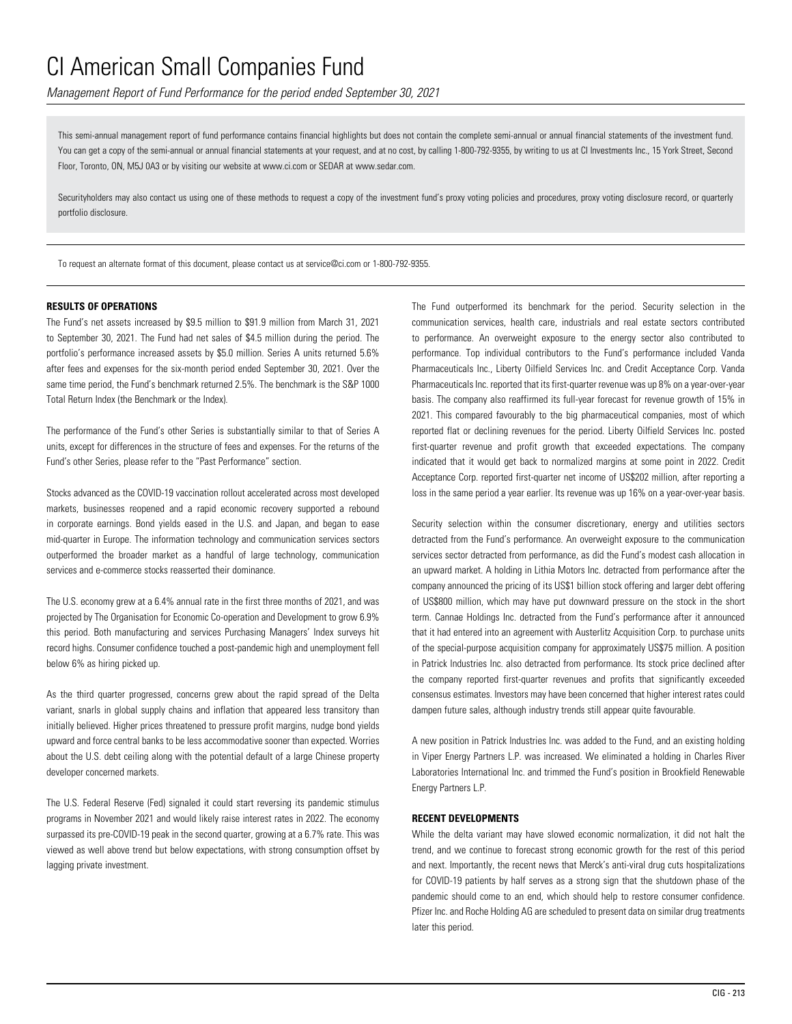*Management Report of Fund Performance for the period ended September 30, 2021*

This semi-annual management report of fund performance contains financial highlights but does not contain the complete semi-annual or annual financial statements of the investment fund. You can get a copy of the semi-annual or annual financial statements at your request, and at no cost, by calling 1-800-792-9355, by writing to us at CI Investments Inc., 15 York Street, Second Floor, Toronto, ON, M5J 0A3 or by visiting our website at www.ci.com or SEDAR at www.sedar.com.

Securityholders may also contact us using one of these methods to request a copy of the investment fund's proxy voting policies and procedures, proxy voting disclosure record, or quarterly portfolio disclosure.

To request an alternate format of this document, please contact us at service@ci.com or 1-800-792-9355.

### **RESULTS OF OPERATIONS**

The Fund's net assets increased by \$9.5 million to \$91.9 million from March 31, 2021 to September 30, 2021. The Fund had net sales of \$4.5 million during the period. The portfolio's performance increased assets by \$5.0 million. Series A units returned 5.6% after fees and expenses for the six-month period ended September 30, 2021. Over the same time period, the Fund's benchmark returned 2.5%. The benchmark is the S&P 1000 Total Return Index (the Benchmark or the Index).

The performance of the Fund's other Series is substantially similar to that of Series A units, except for differences in the structure of fees and expenses. For the returns of the Fund's other Series, please refer to the "Past Performance" section.

Stocks advanced as the COVID-19 vaccination rollout accelerated across most developed markets, businesses reopened and a rapid economic recovery supported a rebound in corporate earnings. Bond yields eased in the U.S. and Japan, and began to ease mid-quarter in Europe. The information technology and communication services sectors outperformed the broader market as a handful of large technology, communication services and e-commerce stocks reasserted their dominance.

The U.S. economy grew at a 6.4% annual rate in the first three months of 2021, and was projected by The Organisation for Economic Co-operation and Development to grow 6.9% this period. Both manufacturing and services Purchasing Managers' Index surveys hit record highs. Consumer confidence touched a post-pandemic high and unemployment fell below 6% as hiring picked up.

As the third quarter progressed, concerns grew about the rapid spread of the Delta variant, snarls in global supply chains and inflation that appeared less transitory than initially believed. Higher prices threatened to pressure profit margins, nudge bond yields upward and force central banks to be less accommodative sooner than expected. Worries about the U.S. debt ceiling along with the potential default of a large Chinese property developer concerned markets.

The U.S. Federal Reserve (Fed) signaled it could start reversing its pandemic stimulus programs in November 2021 and would likely raise interest rates in 2022. The economy surpassed its pre-COVID-19 peak in the second quarter, growing at a 6.7% rate. This was viewed as well above trend but below expectations, with strong consumption offset by lagging private investment.

The Fund outperformed its benchmark for the period. Security selection in the communication services, health care, industrials and real estate sectors contributed to performance. An overweight exposure to the energy sector also contributed to performance. Top individual contributors to the Fund's performance included Vanda Pharmaceuticals Inc., Liberty Oilfield Services Inc. and Credit Acceptance Corp. Vanda Pharmaceuticals Inc. reported that its first-quarter revenue was up 8% on a year-over-year basis. The company also reaffirmed its full-year forecast for revenue growth of 15% in 2021. This compared favourably to the big pharmaceutical companies, most of which reported flat or declining revenues for the period. Liberty Oilfield Services Inc. posted first-quarter revenue and profit growth that exceeded expectations. The company indicated that it would get back to normalized margins at some point in 2022. Credit Acceptance Corp. reported first-quarter net income of US\$202 million, after reporting a loss in the same period a year earlier. Its revenue was up 16% on a year-over-year basis.

Security selection within the consumer discretionary, energy and utilities sectors detracted from the Fund's performance. An overweight exposure to the communication services sector detracted from performance, as did the Fund's modest cash allocation in an upward market. A holding in Lithia Motors Inc. detracted from performance after the company announced the pricing of its US\$1 billion stock offering and larger debt offering of US\$800 million, which may have put downward pressure on the stock in the short term. Cannae Holdings Inc. detracted from the Fund's performance after it announced that it had entered into an agreement with Austerlitz Acquisition Corp. to purchase units of the special-purpose acquisition company for approximately US\$75 million. A position in Patrick Industries Inc. also detracted from performance. Its stock price declined after the company reported first-quarter revenues and profits that significantly exceeded consensus estimates. Investors may have been concerned that higher interest rates could dampen future sales, although industry trends still appear quite favourable.

A new position in Patrick Industries Inc. was added to the Fund, and an existing holding in Viper Energy Partners L.P. was increased. We eliminated a holding in Charles River Laboratories International Inc. and trimmed the Fund's position in Brookfield Renewable Energy Partners L.P.

### **RECENT DEVELOPMENTS**

While the delta variant may have slowed economic normalization, it did not halt the trend, and we continue to forecast strong economic growth for the rest of this period and next. Importantly, the recent news that Merck's anti-viral drug cuts hospitalizations for COVID-19 patients by half serves as a strong sign that the shutdown phase of the pandemic should come to an end, which should help to restore consumer confidence. Pfizer Inc. and Roche Holding AG are scheduled to present data on similar drug treatments later this period.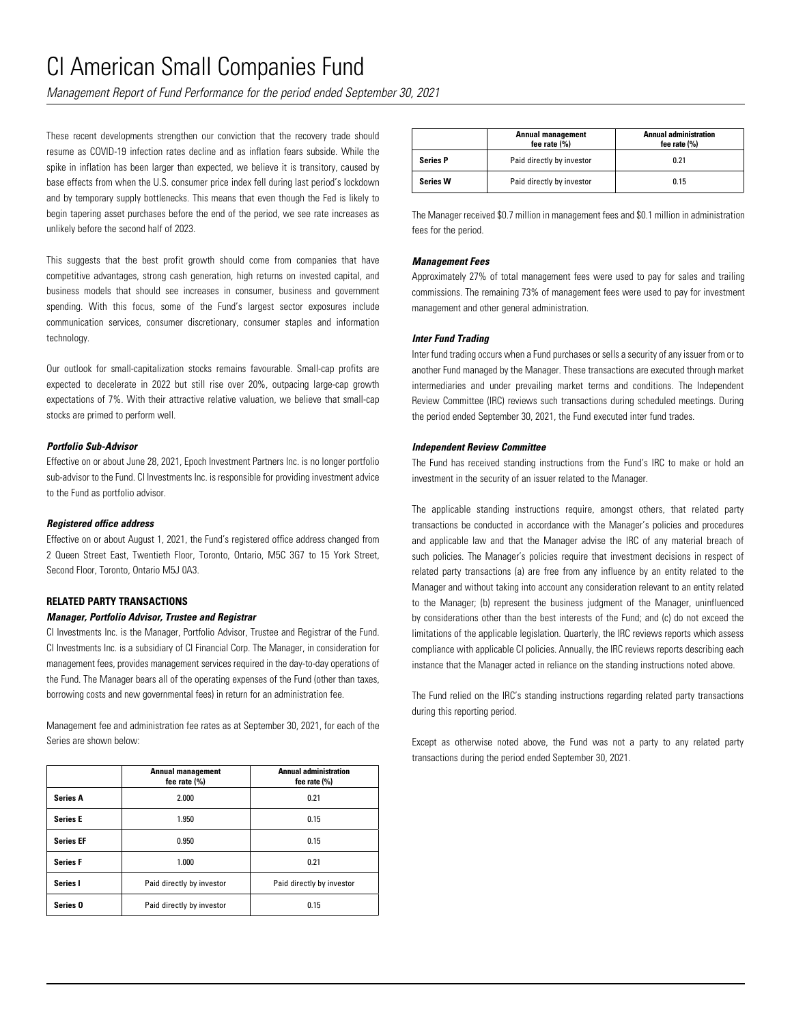*Management Report of Fund Performance for the period ended September 30, 2021*

These recent developments strengthen our conviction that the recovery trade should resume as COVID-19 infection rates decline and as inflation fears subside. While the spike in inflation has been larger than expected, we believe it is transitory, caused by base effects from when the U.S. consumer price index fell during last period's lockdown and by temporary supply bottlenecks. This means that even though the Fed is likely to begin tapering asset purchases before the end of the period, we see rate increases as unlikely before the second half of 2023.

This suggests that the best profit growth should come from companies that have competitive advantages, strong cash generation, high returns on invested capital, and business models that should see increases in consumer, business and government spending. With this focus, some of the Fund's largest sector exposures include communication services, consumer discretionary, consumer staples and information technology.

Our outlook for small-capitalization stocks remains favourable. Small-cap profits are expected to decelerate in 2022 but still rise over 20%, outpacing large-cap growth expectations of 7%. With their attractive relative valuation, we believe that small-cap stocks are primed to perform well.

### *Portfolio Sub-Advisor*

Effective on or about June 28, 2021, Epoch Investment Partners Inc. is no longer portfolio sub-advisor to the Fund. CI Investments Inc. is responsible for providing investment advice to the Fund as portfolio advisor.

### *Registered office address*

Effective on or about August 1, 2021, the Fund's registered office address changed from 2 Queen Street East, Twentieth Floor, Toronto, Ontario, M5C 3G7 to 15 York Street, Second Floor, Toronto, Ontario M5J 0A3.

# **RELATED PARTY TRANSACTIONS**

### *Manager, Portfolio Advisor, Trustee and Registrar*

CI Investments Inc. is the Manager, Portfolio Advisor, Trustee and Registrar of the Fund. CI Investments Inc. is a subsidiary of CI Financial Corp. The Manager, in consideration for management fees, provides management services required in the day-to-day operations of the Fund. The Manager bears all of the operating expenses of the Fund (other than taxes, borrowing costs and new governmental fees) in return for an administration fee.

Management fee and administration fee rates as at September 30, 2021, for each of the Series are shown below:

|                     | <b>Annual management</b><br>fee rate (%) | <b>Annual administration</b><br>fee rate $(% )$ |
|---------------------|------------------------------------------|-------------------------------------------------|
| <b>Series A</b>     | 2.000                                    | 0.21                                            |
| <b>Series E</b>     | 1.950                                    | 0.15                                            |
| <b>Series EF</b>    | 0.950                                    | 0.15                                            |
| <b>Series F</b>     | 1.000                                    | 0.21                                            |
| Series I            | Paid directly by investor                | Paid directly by investor                       |
| Series <sub>0</sub> | Paid directly by investor                | 0.15                                            |

|                 | <b>Annual management</b><br>fee rate $(\%)$ | <b>Annual administration</b><br>fee rate $(%)$ |
|-----------------|---------------------------------------------|------------------------------------------------|
| <b>Series P</b> | Paid directly by investor                   | 0.21                                           |
| <b>Series W</b> | Paid directly by investor                   | 0.15                                           |

The Manager received \$0.7 million in management fees and \$0.1 million in administration fees for the period.

### *Management Fees*

Approximately 27% of total management fees were used to pay for sales and trailing commissions. The remaining 73% of management fees were used to pay for investment management and other general administration.

### *Inter Fund Trading*

Inter fund trading occurs when a Fund purchases or sells a security of any issuer from or to another Fund managed by the Manager. These transactions are executed through market intermediaries and under prevailing market terms and conditions. The Independent Review Committee (IRC) reviews such transactions during scheduled meetings. During the period ended September 30, 2021, the Fund executed inter fund trades.

### *Independent Review Committee*

The Fund has received standing instructions from the Fund's IRC to make or hold an investment in the security of an issuer related to the Manager.

The applicable standing instructions require, amongst others, that related party transactions be conducted in accordance with the Manager's policies and procedures and applicable law and that the Manager advise the IRC of any material breach of such policies. The Manager's policies require that investment decisions in respect of related party transactions (a) are free from any influence by an entity related to the Manager and without taking into account any consideration relevant to an entity related to the Manager; (b) represent the business judgment of the Manager, uninfluenced by considerations other than the best interests of the Fund; and (c) do not exceed the limitations of the applicable legislation. Quarterly, the IRC reviews reports which assess compliance with applicable CI policies. Annually, the IRC reviews reports describing each instance that the Manager acted in reliance on the standing instructions noted above.

The Fund relied on the IRC's standing instructions regarding related party transactions during this reporting period.

Except as otherwise noted above, the Fund was not a party to any related party transactions during the period ended September 30, 2021.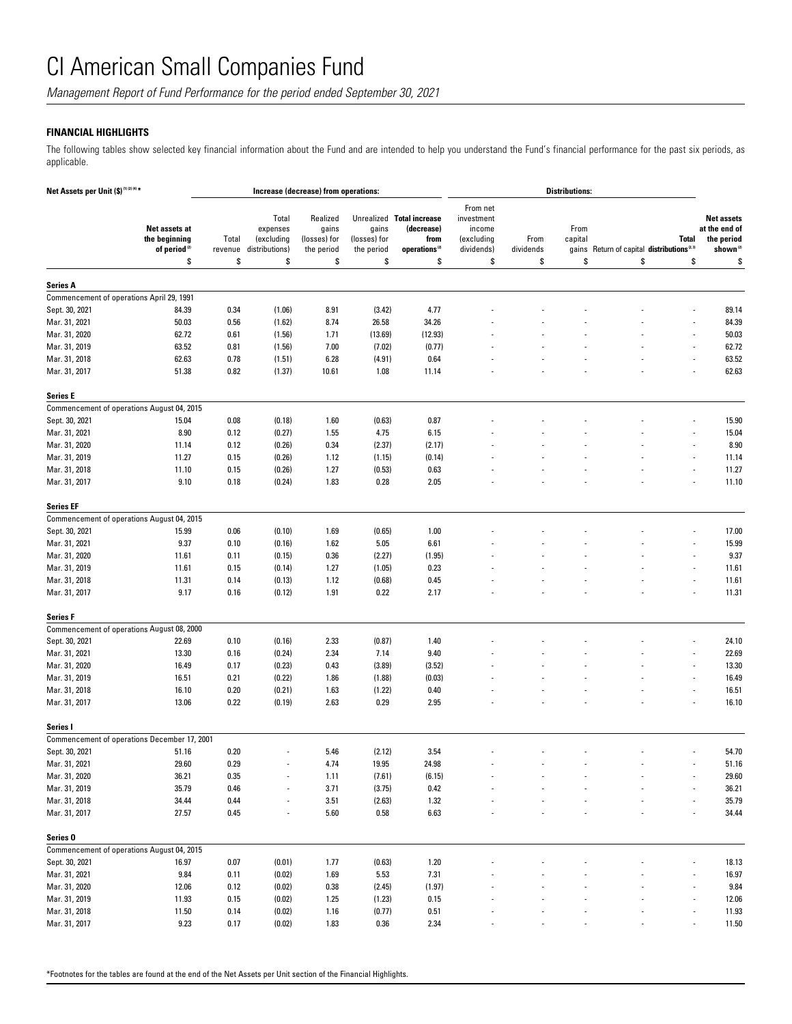*Management Report of Fund Performance for the period ended September 30, 2021*

# **FINANCIAL HIGHLIGHTS**

The following tables show selected key financial information about the Fund and are intended to help you understand the Fund's financial performance for the past six periods, as applicable.

| Net Assets per Unit (\$)(1)(2)(4)*        |                                                                  | Increase (decrease) from operations: |                                                         |                                                       |                                           |                                                                                    | <b>Distributions:</b>                                              |                         |                       |                                                             |                          |                                                                                |
|-------------------------------------------|------------------------------------------------------------------|--------------------------------------|---------------------------------------------------------|-------------------------------------------------------|-------------------------------------------|------------------------------------------------------------------------------------|--------------------------------------------------------------------|-------------------------|-----------------------|-------------------------------------------------------------|--------------------------|--------------------------------------------------------------------------------|
|                                           | Net assets at<br>the beginning<br>of period <sup>(2)</sup><br>\$ | Total<br>revenue<br>\$               | Total<br>expenses<br>(excluding<br>distributions)<br>\$ | Realized<br>gains<br>(losses) for<br>the period<br>\$ | gains<br>(losses) for<br>the period<br>\$ | Unrealized Total increase<br>(decrease)<br>from<br>operations <sup>(2)</sup><br>\$ | From net<br>investment<br>income<br>(excluding<br>dividends)<br>\$ | From<br>dividends<br>\$ | From<br>capital<br>\$ | gains Return of capital distributions <sup>2,3)</sup><br>\$ | Total<br>\$              | <b>Net assets</b><br>at the end of<br>the period<br>shown <sup>(2)</sup><br>\$ |
|                                           |                                                                  |                                      |                                                         |                                                       |                                           |                                                                                    |                                                                    |                         |                       |                                                             |                          |                                                                                |
| <b>Series A</b>                           |                                                                  |                                      |                                                         |                                                       |                                           |                                                                                    |                                                                    |                         |                       |                                                             |                          |                                                                                |
| Commencement of operations April 29, 1991 |                                                                  |                                      |                                                         |                                                       |                                           |                                                                                    |                                                                    |                         |                       |                                                             |                          |                                                                                |
| Sept. 30, 2021                            | 84.39                                                            | 0.34                                 | (1.06)                                                  | 8.91                                                  | (3.42)                                    | 4.77                                                                               |                                                                    |                         |                       |                                                             |                          | 89.14                                                                          |
| Mar. 31, 2021                             | 50.03                                                            | 0.56                                 | (1.62)                                                  | 8.74                                                  | 26.58                                     | 34.26                                                                              |                                                                    |                         |                       |                                                             |                          | 84.39                                                                          |
| Mar. 31, 2020                             | 62.72                                                            | 0.61                                 | (1.56)                                                  | 1.71                                                  | (13.69)                                   | (12.93)                                                                            |                                                                    |                         |                       |                                                             |                          | 50.03                                                                          |
| Mar. 31, 2019                             | 63.52                                                            | 0.81                                 | (1.56)                                                  | 7.00                                                  | (7.02)                                    | (0.77)                                                                             |                                                                    |                         |                       |                                                             |                          | 62.72                                                                          |
| Mar. 31, 2018                             | 62.63                                                            | 0.78                                 | (1.51)                                                  | 6.28                                                  | (4.91)                                    | 0.64                                                                               |                                                                    |                         |                       |                                                             |                          | 63.52                                                                          |
| Mar. 31, 2017                             | 51.38                                                            | 0.82                                 | (1.37)                                                  | 10.61                                                 | 1.08                                      | 11.14                                                                              |                                                                    |                         |                       |                                                             |                          | 62.63                                                                          |
| <b>Series E</b>                           |                                                                  |                                      |                                                         |                                                       |                                           |                                                                                    |                                                                    |                         |                       |                                                             |                          |                                                                                |
|                                           | Commencement of operations August 04, 2015                       |                                      |                                                         |                                                       |                                           |                                                                                    |                                                                    |                         |                       |                                                             |                          |                                                                                |
| Sept. 30, 2021                            | 15.04                                                            | 0.08                                 | (0.18)                                                  | 1.60                                                  | (0.63)                                    | 0.87                                                                               |                                                                    |                         |                       |                                                             |                          | 15.90                                                                          |
| Mar. 31, 2021                             | 8.90                                                             | 0.12                                 | (0.27)                                                  | 1.55                                                  | 4.75                                      | 6.15                                                                               |                                                                    |                         |                       |                                                             |                          | 15.04                                                                          |
| Mar. 31, 2020                             | 11.14                                                            | 0.12                                 | (0.26)                                                  | 0.34                                                  | (2.37)                                    | (2.17)                                                                             |                                                                    |                         |                       |                                                             |                          | 8.90                                                                           |
| Mar. 31, 2019                             | 11.27                                                            | 0.15                                 | (0.26)                                                  | 1.12                                                  | (1.15)                                    | (0.14)                                                                             |                                                                    |                         |                       |                                                             |                          | 11.14                                                                          |
| Mar. 31, 2018                             | 11.10                                                            | 0.15                                 | (0.26)                                                  | 1.27                                                  | (0.53)                                    | 0.63                                                                               |                                                                    |                         |                       |                                                             |                          | 11.27                                                                          |
| Mar. 31, 2017                             | 9.10                                                             | 0.18                                 | (0.24)                                                  | 1.83                                                  | 0.28                                      | 2.05                                                                               |                                                                    |                         |                       |                                                             |                          | 11.10                                                                          |
| <b>Series EF</b>                          |                                                                  |                                      |                                                         |                                                       |                                           |                                                                                    |                                                                    |                         |                       |                                                             |                          |                                                                                |
|                                           | Commencement of operations August 04, 2015                       |                                      |                                                         |                                                       |                                           |                                                                                    |                                                                    |                         |                       |                                                             |                          |                                                                                |
| Sept. 30, 2021                            | 15.99                                                            | 0.06                                 | (0.10)                                                  | 1.69                                                  | (0.65)                                    | 1.00                                                                               |                                                                    |                         |                       |                                                             |                          | 17.00                                                                          |
| Mar. 31, 2021                             | 9.37                                                             | 0.10                                 | (0.16)                                                  | 1.62                                                  | 5.05                                      | 6.61                                                                               |                                                                    |                         |                       |                                                             |                          | 15.99                                                                          |
| Mar. 31, 2020                             | 11.61                                                            | 0.11                                 | (0.15)                                                  | 0.36                                                  | (2.27)                                    | (1.95)                                                                             |                                                                    |                         |                       |                                                             |                          | 9.37                                                                           |
| Mar. 31, 2019                             | 11.61                                                            | 0.15                                 | (0.14)                                                  | 1.27                                                  | (1.05)                                    | 0.23                                                                               |                                                                    |                         |                       |                                                             |                          | 11.61                                                                          |
| Mar. 31, 2018                             | 11.31                                                            | 0.14                                 | (0.13)                                                  | 1.12                                                  | (0.68)                                    | 0.45                                                                               |                                                                    |                         |                       |                                                             |                          | 11.61                                                                          |
| Mar. 31, 2017                             | 9.17                                                             | 0.16                                 | (0.12)                                                  | 1.91                                                  | 0.22                                      | 2.17                                                                               |                                                                    |                         |                       |                                                             |                          | 11.31                                                                          |
| <b>Series F</b>                           |                                                                  |                                      |                                                         |                                                       |                                           |                                                                                    |                                                                    |                         |                       |                                                             |                          |                                                                                |
|                                           | Commencement of operations August 08, 2000                       |                                      |                                                         |                                                       |                                           |                                                                                    |                                                                    |                         |                       |                                                             |                          |                                                                                |
| Sept. 30, 2021                            | 22.69                                                            | 0.10                                 | (0.16)                                                  | 2.33                                                  | (0.87)                                    | 1.40                                                                               |                                                                    |                         |                       |                                                             |                          | 24.10                                                                          |
| Mar. 31, 2021                             | 13.30                                                            | 0.16                                 | (0.24)                                                  | 2.34                                                  | 7.14                                      | 9.40                                                                               |                                                                    |                         |                       |                                                             |                          | 22.69                                                                          |
| Mar. 31, 2020                             | 16.49                                                            | 0.17                                 | (0.23)                                                  | 0.43                                                  | (3.89)                                    | (3.52)                                                                             |                                                                    |                         |                       |                                                             |                          | 13.30                                                                          |
| Mar. 31, 2019                             | 16.51                                                            | 0.21                                 | (0.22)                                                  | 1.86                                                  | (1.88)                                    | (0.03)                                                                             |                                                                    |                         |                       |                                                             |                          | 16.49                                                                          |
| Mar. 31, 2018                             | 16.10                                                            | 0.20                                 | (0.21)                                                  | 1.63                                                  | (1.22)                                    | 0.40                                                                               |                                                                    |                         |                       |                                                             |                          | 16.51                                                                          |
| Mar. 31, 2017                             | 13.06                                                            | 0.22                                 | (0.19)                                                  | 2.63                                                  | 0.29                                      | 2.95                                                                               |                                                                    |                         |                       |                                                             |                          | 16.10                                                                          |
| Series I                                  |                                                                  |                                      |                                                         |                                                       |                                           |                                                                                    |                                                                    |                         |                       |                                                             |                          |                                                                                |
|                                           | Commencement of operations December 17, 2001                     |                                      |                                                         |                                                       |                                           |                                                                                    |                                                                    |                         |                       |                                                             |                          |                                                                                |
| Sept. 30, 2021                            | 51.16                                                            | 0.20                                 |                                                         | 5.46                                                  | (2.12)                                    | 3.54                                                                               |                                                                    |                         |                       |                                                             |                          | 54.70                                                                          |
| Mar. 31, 2021                             | 29.60                                                            | 0.29                                 |                                                         | 4.74                                                  | 19.95                                     | 24.98                                                                              |                                                                    |                         |                       |                                                             |                          | 51.16                                                                          |
| Mar. 31, 2020                             | 36.21                                                            | 0.35                                 | $\overline{\phantom{a}}$                                | 1.11                                                  | (7.61)                                    | (6.15)                                                                             |                                                                    |                         |                       |                                                             |                          | 29.60                                                                          |
| Mar. 31, 2019                             | 35.79                                                            | 0.46                                 |                                                         | 3.71                                                  | (3.75)                                    | 0.42                                                                               |                                                                    |                         |                       |                                                             |                          | 36.21                                                                          |
| Mar. 31, 2018                             | 34.44                                                            | 0.44                                 | $\overline{\phantom{a}}$                                | 3.51                                                  | (2.63)                                    | 1.32                                                                               |                                                                    |                         |                       |                                                             |                          | 35.79                                                                          |
| Mar. 31, 2017                             | 27.57                                                            | 0.45                                 | $\overline{\phantom{a}}$                                | 5.60                                                  | 0.58                                      | 6.63                                                                               |                                                                    |                         |                       |                                                             |                          | 34.44                                                                          |
| Series <sub>0</sub>                       |                                                                  |                                      |                                                         |                                                       |                                           |                                                                                    |                                                                    |                         |                       |                                                             |                          |                                                                                |
|                                           | Commencement of operations August 04, 2015                       |                                      |                                                         |                                                       |                                           |                                                                                    |                                                                    |                         |                       |                                                             |                          |                                                                                |
| Sept. 30, 2021                            | 16.97                                                            | 0.07                                 | (0.01)                                                  | 1.77                                                  | (0.63)                                    | 1.20                                                                               |                                                                    |                         |                       |                                                             |                          | 18.13                                                                          |
| Mar. 31, 2021                             | 9.84                                                             | 0.11                                 | (0.02)                                                  | 1.69                                                  | 5.53                                      | 7.31                                                                               |                                                                    |                         |                       |                                                             |                          | 16.97                                                                          |
| Mar. 31, 2020                             | 12.06                                                            | 0.12                                 | (0.02)                                                  | 0.38                                                  | (2.45)                                    | (1.97)                                                                             |                                                                    |                         |                       |                                                             |                          | 9.84                                                                           |
| Mar. 31, 2019                             | 11.93                                                            | 0.15                                 | (0.02)                                                  | 1.25                                                  | (1.23)                                    | 0.15                                                                               |                                                                    |                         |                       |                                                             | $\overline{\phantom{a}}$ | 12.06                                                                          |
| Mar. 31, 2018                             | 11.50                                                            | 0.14                                 | (0.02)                                                  | 1.16                                                  | (0.77)                                    | $0.51\,$                                                                           |                                                                    |                         |                       |                                                             |                          | 11.93                                                                          |
| Mar. 31, 2017                             | 9.23                                                             | 0.17                                 | (0.02)                                                  | 1.83                                                  | 0.36                                      | 2.34                                                                               |                                                                    |                         |                       |                                                             |                          | 11.50                                                                          |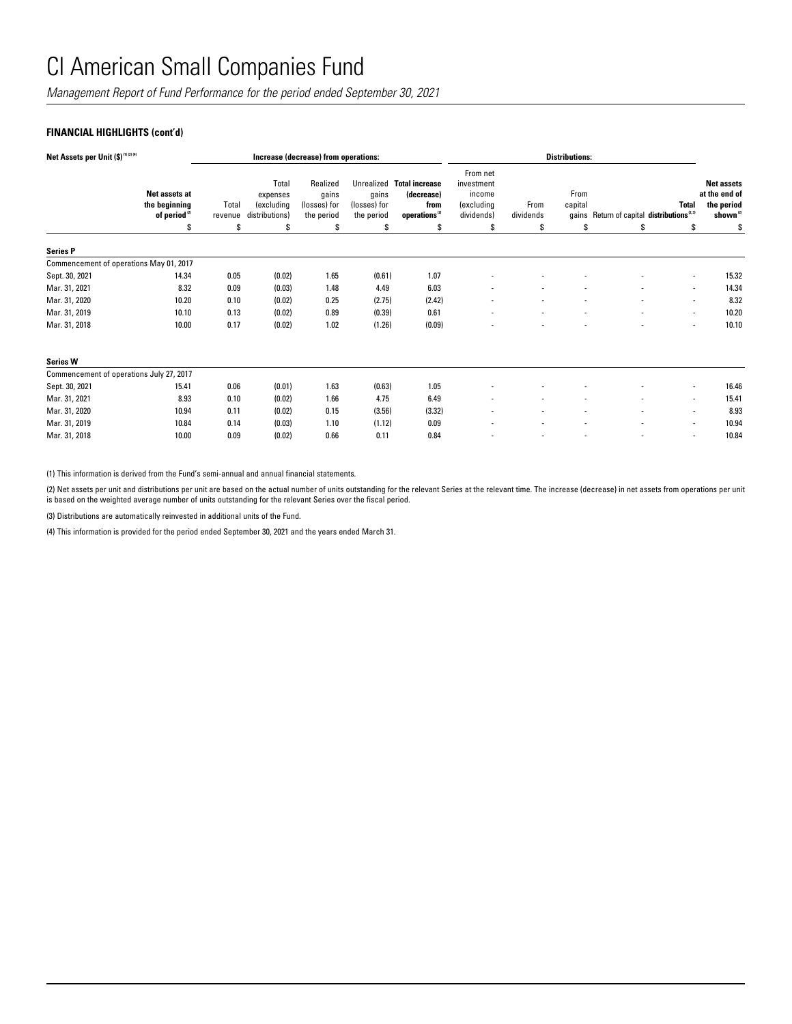*Management Report of Fund Performance for the period ended September 30, 2021*

# **FINANCIAL HIGHLIGHTS (cont'd)**

| Net Assets per Unit (\$)(1)(2)(4)                          |                                                                  | Increase (decrease) from operations: |                                                                |                                                       |                                                         | <b>Distributions:</b>                                                          |                                                                    |                          |                          |                                                             |                          |                                                                               |
|------------------------------------------------------------|------------------------------------------------------------------|--------------------------------------|----------------------------------------------------------------|-------------------------------------------------------|---------------------------------------------------------|--------------------------------------------------------------------------------|--------------------------------------------------------------------|--------------------------|--------------------------|-------------------------------------------------------------|--------------------------|-------------------------------------------------------------------------------|
|                                                            | Net assets at<br>the beginning<br>of period <sup>(2)</sup><br>\$ | Total<br>revenue<br>\$               | Total<br>expenses<br><i>(excluding</i><br>distributions)<br>\$ | Realized<br>gains<br>(losses) for<br>the period<br>\$ | Unrealized<br>gains<br>(losses) for<br>the period<br>\$ | <b>Total increase</b><br>(decrease)<br>from<br>operations <sup>(2)</sup><br>\$ | From net<br>investment<br>income<br>(excluding<br>dividends)<br>\$ | From<br>dividends<br>\$  | From<br>capital<br>s     | gains Return of capital distributions <sup>2.31</sup><br>\$ | <b>Total</b><br>\$       | <b>Net assets</b><br>at the end of<br>the period<br>shown <sup>(2)</sup><br>S |
|                                                            |                                                                  |                                      |                                                                |                                                       |                                                         |                                                                                |                                                                    |                          |                          |                                                             |                          |                                                                               |
| <b>Series P</b><br>Commencement of operations May 01, 2017 |                                                                  |                                      |                                                                |                                                       |                                                         |                                                                                |                                                                    |                          |                          |                                                             |                          |                                                                               |
| Sept. 30, 2021                                             | 14.34                                                            | 0.05                                 | (0.02)                                                         | 1.65                                                  | (0.61)                                                  | 1.07                                                                           |                                                                    |                          |                          |                                                             | $\overline{\phantom{a}}$ | 15.32                                                                         |
| Mar. 31, 2021                                              | 8.32                                                             | 0.09                                 | (0.03)                                                         | 1.48                                                  | 4.49                                                    | 6.03                                                                           |                                                                    | $\overline{\phantom{a}}$ | $\overline{\phantom{a}}$ |                                                             | $\overline{\phantom{a}}$ | 14.34                                                                         |
| Mar. 31, 2020                                              | 10.20                                                            | 0.10                                 | (0.02)                                                         | 0.25                                                  | (2.75)                                                  | (2.42)                                                                         |                                                                    | $\overline{\phantom{a}}$ | $\overline{\phantom{a}}$ | ٠                                                           | $\sim$                   | 8.32                                                                          |
| Mar. 31, 2019                                              | 10.10                                                            | 0.13                                 | (0.02)                                                         | 0.89                                                  | (0.39)                                                  | 0.61                                                                           |                                                                    | $\overline{a}$           |                          |                                                             | $\overline{\phantom{a}}$ | 10.20                                                                         |
| Mar. 31, 2018                                              | 10.00                                                            | 0.17                                 | (0.02)                                                         | 1.02                                                  | (1.26)                                                  | (0.09)                                                                         |                                                                    |                          |                          |                                                             | $\blacksquare$           | 10.10                                                                         |
| <b>Series W</b>                                            |                                                                  |                                      |                                                                |                                                       |                                                         |                                                                                |                                                                    |                          |                          |                                                             |                          |                                                                               |
| Commencement of operations July 27, 2017                   |                                                                  |                                      |                                                                |                                                       |                                                         |                                                                                |                                                                    |                          |                          |                                                             |                          |                                                                               |
| Sept. 30, 2021                                             | 15.41                                                            | 0.06                                 | (0.01)                                                         | 1.63                                                  | (0.63)                                                  | 1.05                                                                           |                                                                    |                          |                          |                                                             | $\overline{\phantom{a}}$ | 16.46                                                                         |
| Mar. 31, 2021                                              | 8.93                                                             | 0.10                                 | (0.02)                                                         | 1.66                                                  | 4.75                                                    | 6.49                                                                           |                                                                    | $\blacksquare$           |                          |                                                             | $\overline{\phantom{a}}$ | 15.41                                                                         |
| Mar. 31, 2020                                              | 10.94                                                            | 0.11                                 | (0.02)                                                         | 0.15                                                  | (3.56)                                                  | (3.32)                                                                         |                                                                    | $\blacksquare$           |                          |                                                             | $\sim$                   | 8.93                                                                          |
| Mar. 31, 2019                                              | 10.84                                                            | 0.14                                 | (0.03)                                                         | 1.10                                                  | (1.12)                                                  | 0.09                                                                           |                                                                    | $\overline{a}$           |                          |                                                             | $\overline{\phantom{a}}$ | 10.94                                                                         |
| Mar. 31, 2018                                              | 10.00                                                            | 0.09                                 | (0.02)                                                         | 0.66                                                  | 0.11                                                    | 0.84                                                                           |                                                                    |                          |                          |                                                             |                          | 10.84                                                                         |

(1) This information is derived from the Fund's semi-annual and annual financial statements.

(2) Net assets per unit and distributions per unit are based on the actual number of units outstanding for the relevant Series at the relevant time. The increase (decrease) in net assets from operations per unit is based on the weighted average number of units outstanding for the relevant Series over the fiscal period.

(3) Distributions are automatically reinvested in additional units of the Fund.

(4) This information is provided for the period ended September 30, 2021 and the years ended March 31.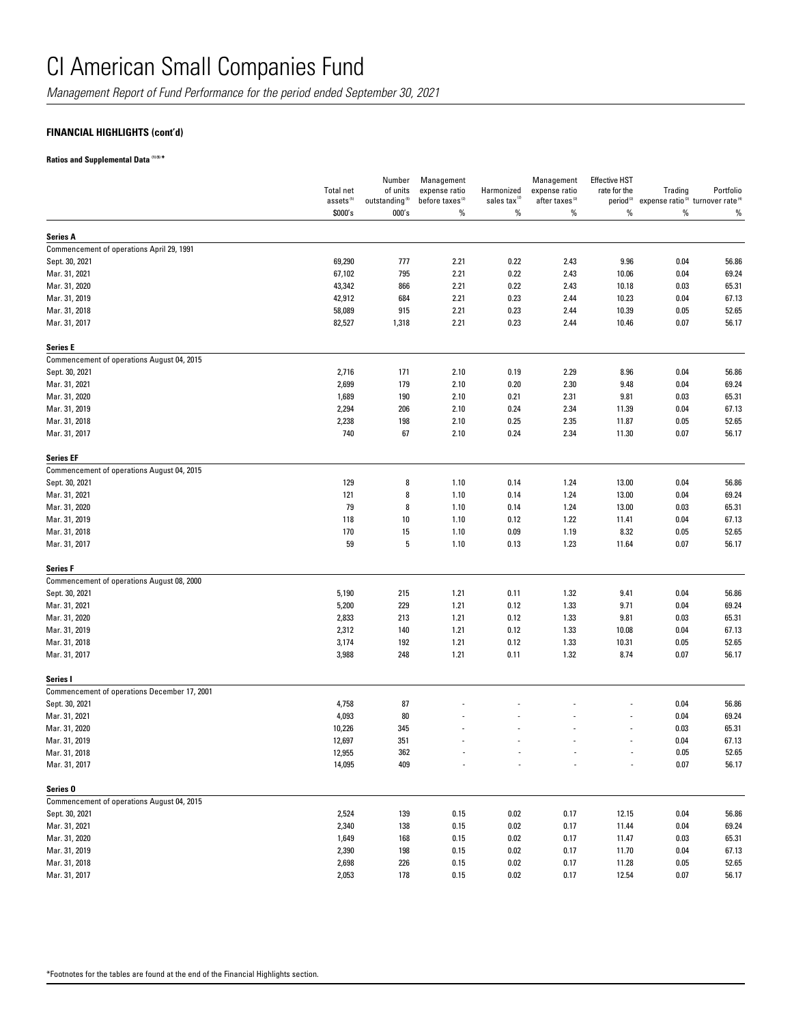*Management Report of Fund Performance for the period ended September 30, 2021*

# **FINANCIAL HIGHLIGHTS (cont'd)**

**Ratios and Supplemental Data (1) (5) \***

|                                                               | <b>Total net</b><br>assets <sup>(5)</sup> | Number<br>of units<br>outstanding <sup>(5)</sup> | Management<br>expense ratio<br>before taxes <sup>(2)</sup> | Harmonized<br>sales tax <sup>12</sup> | Management<br>expense ratio<br>after taxes <sup>(2)</sup> | <b>Effective HST</b><br>rate for the | Trading<br>period <sup>(2)</sup> expense ratio <sup>(3)</sup> turnover rate <sup>(4)</sup> | Portfolio      |
|---------------------------------------------------------------|-------------------------------------------|--------------------------------------------------|------------------------------------------------------------|---------------------------------------|-----------------------------------------------------------|--------------------------------------|--------------------------------------------------------------------------------------------|----------------|
|                                                               | \$000's                                   | 000's                                            | %                                                          | $\%$                                  | %                                                         | $\%$                                 | $\%$                                                                                       | %              |
| <b>Series A</b>                                               |                                           |                                                  |                                                            |                                       |                                                           |                                      |                                                                                            |                |
| Commencement of operations April 29, 1991                     |                                           |                                                  |                                                            |                                       |                                                           |                                      |                                                                                            |                |
| Sept. 30, 2021                                                | 69,290                                    | 777                                              | 2.21                                                       | 0.22                                  | 2.43                                                      | 9.96                                 | 0.04                                                                                       | 56.86          |
| Mar. 31, 2021                                                 | 67,102                                    | 795                                              | 2.21                                                       | 0.22                                  | 2.43                                                      | 10.06                                | 0.04                                                                                       | 69.24          |
| Mar. 31, 2020                                                 | 43,342                                    | 866                                              | 2.21                                                       | 0.22                                  | 2.43                                                      | 10.18                                | 0.03                                                                                       | 65.31          |
| Mar. 31, 2019                                                 | 42,912                                    | 684                                              | 2.21                                                       | 0.23                                  | 2.44                                                      | 10.23                                | 0.04                                                                                       | 67.13          |
| Mar. 31, 2018                                                 | 58,089                                    | 915                                              | 2.21                                                       | 0.23                                  | 2.44                                                      | 10.39                                | 0.05                                                                                       | 52.65          |
| Mar. 31, 2017                                                 | 82,527                                    | 1,318                                            | 2.21                                                       | 0.23                                  | 2.44                                                      | 10.46                                | 0.07                                                                                       | 56.17          |
| <b>Series E</b>                                               |                                           |                                                  |                                                            |                                       |                                                           |                                      |                                                                                            |                |
| Commencement of operations August 04, 2015                    |                                           |                                                  |                                                            |                                       |                                                           |                                      |                                                                                            |                |
| Sept. 30, 2021                                                | 2,716                                     | 171                                              | 2.10                                                       | 0.19                                  | 2.29                                                      | 8.96                                 | 0.04                                                                                       | 56.86          |
| Mar. 31, 2021                                                 | 2,699                                     | 179                                              | 2.10                                                       | 0.20                                  | 2.30                                                      | 9.48                                 | 0.04                                                                                       | 69.24          |
| Mar. 31, 2020                                                 | 1,689                                     | 190                                              | 2.10                                                       | 0.21                                  | 2.31                                                      | 9.81                                 | 0.03                                                                                       | 65.31          |
| Mar. 31, 2019                                                 | 2,294                                     | 206                                              | 2.10                                                       | 0.24                                  | 2.34                                                      | 11.39                                | 0.04                                                                                       | 67.13          |
| Mar. 31, 2018                                                 | 2,238                                     | 198                                              | 2.10                                                       | 0.25                                  | 2.35                                                      | 11.87                                | 0.05                                                                                       | 52.65          |
| Mar. 31, 2017                                                 | 740                                       | 67                                               | 2.10                                                       | 0.24                                  | 2.34                                                      | 11.30                                | 0.07                                                                                       | 56.17          |
| <b>Series EF</b>                                              |                                           |                                                  |                                                            |                                       |                                                           |                                      |                                                                                            |                |
| Commencement of operations August 04, 2015                    |                                           |                                                  |                                                            |                                       |                                                           |                                      |                                                                                            |                |
| Sept. 30, 2021                                                | 129                                       | 8                                                | 1.10                                                       | 0.14                                  | 1.24                                                      | 13.00                                | 0.04                                                                                       | 56.86          |
| Mar. 31, 2021                                                 | 121                                       | 8                                                | 1.10                                                       | 0.14                                  | 1.24                                                      | 13.00                                | 0.04                                                                                       | 69.24          |
| Mar. 31, 2020                                                 | 79                                        | 8                                                | 1.10                                                       | 0.14                                  | 1.24                                                      | 13.00                                | 0.03                                                                                       | 65.31          |
| Mar. 31, 2019                                                 | 118                                       | $10\,$                                           | 1.10                                                       | 0.12                                  | 1.22                                                      | 11.41                                | 0.04                                                                                       | 67.13          |
| Mar. 31, 2018<br>Mar. 31, 2017                                | 170<br>59                                 | 15<br>5                                          | 1.10<br>1.10                                               | 0.09<br>0.13                          | 1.19<br>1.23                                              | 8.32<br>11.64                        | 0.05<br>0.07                                                                               | 52.65<br>56.17 |
|                                                               |                                           |                                                  |                                                            |                                       |                                                           |                                      |                                                                                            |                |
| <b>Series F</b><br>Commencement of operations August 08, 2000 |                                           |                                                  |                                                            |                                       |                                                           |                                      |                                                                                            |                |
| Sept. 30, 2021                                                | 5,190                                     | 215                                              | 1.21                                                       | 0.11                                  | 1.32                                                      | 9.41                                 | 0.04                                                                                       | 56.86          |
| Mar. 31, 2021                                                 | 5,200                                     | 229                                              | 1.21                                                       | 0.12                                  | 1.33                                                      | 9.71                                 | 0.04                                                                                       | 69.24          |
| Mar. 31, 2020                                                 | 2,833                                     | 213                                              | 1.21                                                       | 0.12                                  | 1.33                                                      | 9.81                                 | 0.03                                                                                       | 65.31          |
| Mar. 31, 2019                                                 | 2,312                                     | 140                                              | 1.21                                                       | 0.12                                  | 1.33                                                      | 10.08                                | 0.04                                                                                       | 67.13          |
| Mar. 31, 2018                                                 | 3,174                                     | 192                                              | 1.21                                                       | 0.12                                  | 1.33                                                      | 10.31                                | 0.05                                                                                       | 52.65          |
| Mar. 31, 2017                                                 | 3,988                                     | 248                                              | 1.21                                                       | 0.11                                  | 1.32                                                      | 8.74                                 | 0.07                                                                                       | 56.17          |
| Series I                                                      |                                           |                                                  |                                                            |                                       |                                                           |                                      |                                                                                            |                |
| Commencement of operations December 17, 2001                  |                                           |                                                  |                                                            |                                       |                                                           |                                      |                                                                                            |                |
| Sept. 30, 2021                                                | 4,758                                     | 87                                               |                                                            |                                       |                                                           |                                      | 0.04                                                                                       | 56.86          |
| Mar. 31, 2021                                                 | 4,093                                     | 80                                               |                                                            |                                       |                                                           |                                      | 0.04                                                                                       | 69.24          |
| Mar. 31, 2020                                                 | 10,226                                    | 345                                              |                                                            |                                       |                                                           |                                      | 0.03                                                                                       | 65.31          |
| Mar. 31, 2019                                                 | 12,697                                    | 351                                              |                                                            |                                       |                                                           |                                      | 0.04                                                                                       | 67.13          |
| Mar. 31, 2018                                                 | 12,955                                    | 362                                              |                                                            |                                       |                                                           |                                      | 0.05                                                                                       | 52.65          |
| Mar. 31, 2017                                                 | 14,095                                    | 409                                              |                                                            |                                       |                                                           |                                      | 0.07                                                                                       | 56.17          |
| Series <sub>0</sub>                                           |                                           |                                                  |                                                            |                                       |                                                           |                                      |                                                                                            |                |
| Commencement of operations August 04, 2015                    |                                           |                                                  |                                                            |                                       |                                                           |                                      |                                                                                            |                |
| Sept. 30, 2021                                                | 2,524                                     | 139                                              | 0.15                                                       | 0.02                                  | 0.17                                                      | 12.15                                | 0.04                                                                                       | 56.86          |
| Mar. 31, 2021                                                 | 2,340                                     | 138                                              | 0.15                                                       | 0.02                                  | 0.17                                                      | 11.44                                | 0.04                                                                                       | 69.24          |
| Mar. 31, 2020                                                 | 1,649                                     | 168                                              | 0.15                                                       | 0.02                                  | 0.17                                                      | 11.47                                | 0.03                                                                                       | 65.31          |
| Mar. 31, 2019                                                 | 2,390                                     | 198                                              | 0.15                                                       | 0.02                                  | 0.17                                                      | 11.70                                | 0.04                                                                                       | 67.13          |
| Mar. 31, 2018                                                 | 2,698                                     | 226                                              | 0.15                                                       | 0.02                                  | 0.17                                                      | 11.28                                | 0.05                                                                                       | 52.65          |
| Mar. 31, 2017                                                 | 2,053                                     | 178                                              | 0.15                                                       | 0.02                                  | 0.17                                                      | 12.54                                | 0.07                                                                                       | 56.17          |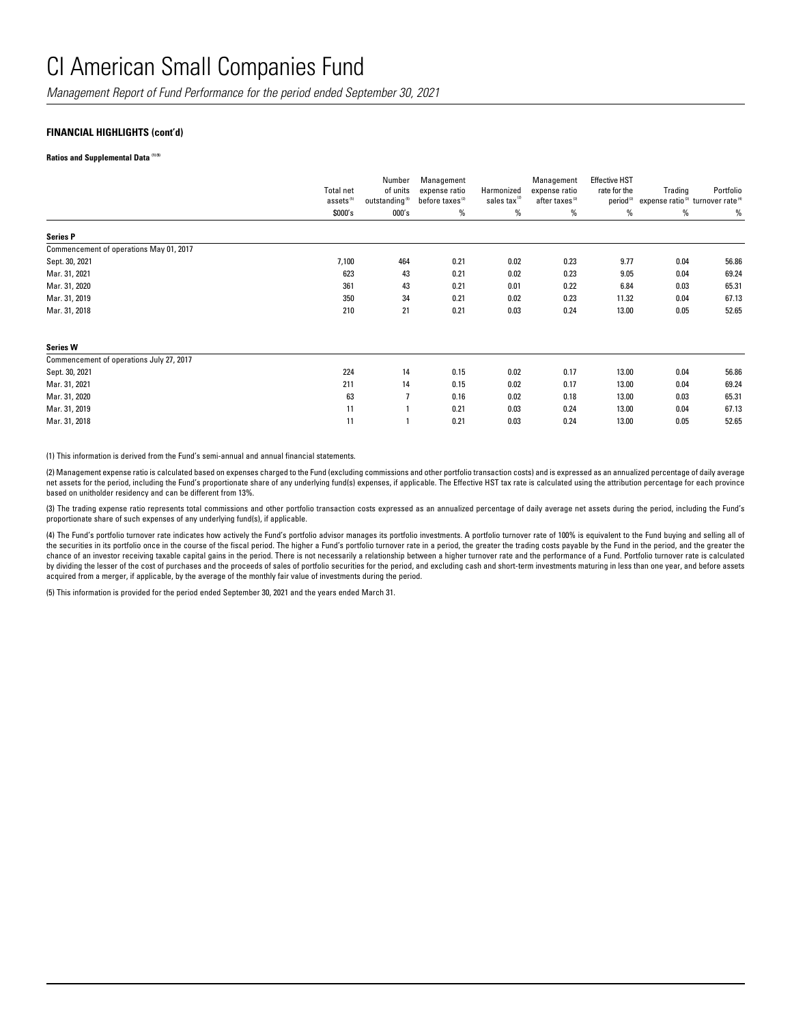*Management Report of Fund Performance for the period ended September 30, 2021*

### **FINANCIAL HIGHLIGHTS (cont'd)**

#### **Ratios and Supplemental Data (1) (5)**

|                                          | <b>Total net</b><br>assets <sup>(5)</sup><br>\$000's | Number<br>of units<br>outstanding <sup>(5)</sup><br>000's | Management<br>expense ratio<br>before taxes <sup>(2)</sup><br>% | Harmonized<br>sales tax <sup>(2)</sup><br>% | Management<br>expense ratio<br>after taxes <sup>(2)</sup><br>% | <b>Effective HST</b><br>rate for the<br>period <sup>(2)</sup><br>% | Trading<br>expense ratio <sup>(3)</sup> turnover rate <sup>(4)</sup><br>% | Portfolio<br>% |
|------------------------------------------|------------------------------------------------------|-----------------------------------------------------------|-----------------------------------------------------------------|---------------------------------------------|----------------------------------------------------------------|--------------------------------------------------------------------|---------------------------------------------------------------------------|----------------|
| <b>Series P</b>                          |                                                      |                                                           |                                                                 |                                             |                                                                |                                                                    |                                                                           |                |
| Commencement of operations May 01, 2017  |                                                      |                                                           |                                                                 |                                             |                                                                |                                                                    |                                                                           |                |
| Sept. 30, 2021                           | 7,100                                                | 464                                                       | 0.21                                                            | 0.02                                        | 0.23                                                           | 9.77                                                               | 0.04                                                                      | 56.86          |
| Mar. 31, 2021                            | 623                                                  | 43                                                        | 0.21                                                            | 0.02                                        | 0.23                                                           | 9.05                                                               | 0.04                                                                      | 69.24          |
| Mar. 31, 2020                            | 361                                                  | 43                                                        | 0.21                                                            | 0.01                                        | 0.22                                                           | 6.84                                                               | 0.03                                                                      | 65.31          |
| Mar. 31, 2019                            | 350                                                  | 34                                                        | 0.21                                                            | 0.02                                        | 0.23                                                           | 11.32                                                              | 0.04                                                                      | 67.13          |
| Mar. 31, 2018                            | 210                                                  | 21                                                        | 0.21                                                            | 0.03                                        | 0.24                                                           | 13.00                                                              | 0.05                                                                      | 52.65          |
| <b>Series W</b>                          |                                                      |                                                           |                                                                 |                                             |                                                                |                                                                    |                                                                           |                |
| Commencement of operations July 27, 2017 |                                                      |                                                           |                                                                 |                                             |                                                                |                                                                    |                                                                           |                |
| Sept. 30, 2021                           | 224                                                  | 14                                                        | 0.15                                                            | 0.02                                        | 0.17                                                           | 13.00                                                              | 0.04                                                                      | 56.86          |
| Mar. 31, 2021                            | 211                                                  | 14                                                        | 0.15                                                            | 0.02                                        | 0.17                                                           | 13.00                                                              | 0.04                                                                      | 69.24          |
| Mar. 31, 2020                            | 63                                                   | 7                                                         | 0.16                                                            | 0.02                                        | 0.18                                                           | 13.00                                                              | 0.03                                                                      | 65.31          |
| Mar. 31, 2019                            | 11                                                   |                                                           | 0.21                                                            | 0.03                                        | 0.24                                                           | 13.00                                                              | 0.04                                                                      | 67.13          |
| Mar. 31, 2018                            | 11                                                   |                                                           | 0.21                                                            | 0.03                                        | 0.24                                                           | 13.00                                                              | 0.05                                                                      | 52.65          |

(1) This information is derived from the Fund's semi-annual and annual financial statements.

(2) Management expense ratio is calculated based on expenses charged to the Fund (excluding commissions and other portfolio transaction costs) and is expressed as an annualized percentage of daily average net assets for the period, including the Fund's proportionate share of any underlying fund(s) expenses, if applicable. The Effective HST tax rate is calculated using the attribution percentage for each province based on unitholder residency and can be different from 13%.

(3) The trading expense ratio represents total commissions and other portfolio transaction costs expressed as an annualized percentage of daily average net assets during the period, including the Fund's proportionate share of such expenses of any underlying fund(s), if applicable.

(4) The Fund's portfolio turnover rate indicates how actively the Fund's portfolio advisor manages its portfolio investments. A portfolio turnover rate of 100% is equivalent to the Fund buying and selling all of the securities in its portfolio once in the course of the fiscal period. The higher a Fund's portfolio turnover rate in a period, the greater the trading costs payable by the Fund in the period, and the greater the chance of an investor receiving taxable capital gains in the period. There is not necessarily a relationship between a higher turnover rate and the performance of a Fund. Portfolio turnover rate is calculated by dividing the lesser of the cost of purchases and the proceeds of sales of portfolio securities for the period, and excluding cash and short-term investments maturing in less than one year, and before assets acquired from a merger, if applicable, by the average of the monthly fair value of investments during the period.

(5) This information is provided for the period ended September 30, 2021 and the years ended March 31.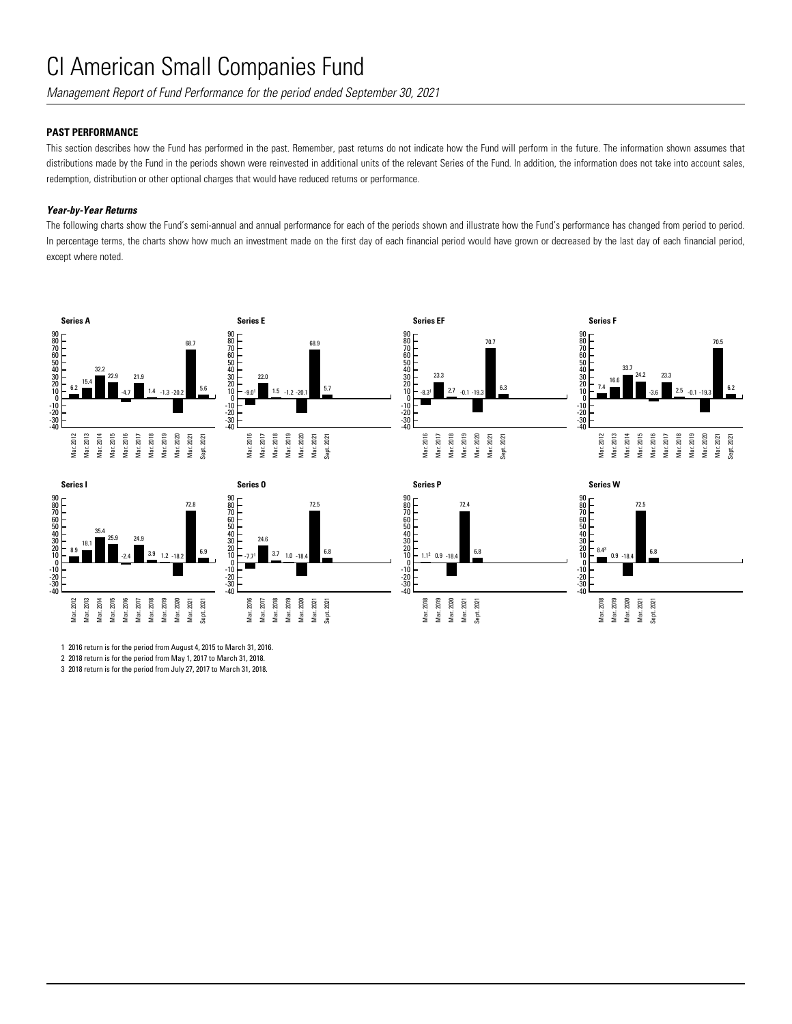*Management Report of Fund Performance for the period ended September 30, 2021*

# **PAST PERFORMANCE**

This section describes how the Fund has performed in the past. Remember, past returns do not indicate how the Fund will perform in the future. The information shown assumes that distributions made by the Fund in the periods shown were reinvested in additional units of the relevant Series of the Fund. In addition, the information does not take into account sales, redemption, distribution or other optional charges that would have reduced returns or performance.

# *Year-by-Year Returns*

The following charts show the Fund's semi-annual and annual performance for each of the periods shown and illustrate how the Fund's performance has changed from period to period. In percentage terms, the charts show how much an investment made on the first day of each financial period would have grown or decreased by the last day of each financial period, except where noted.





1 2016 return is for the period from August 4, 2015 to March 31, 2016.

2 2018 return is for the period from May 1, 2017 to March 31, 2018.

3 2018 return is for the period from July 27, 2017 to March 31, 2018.